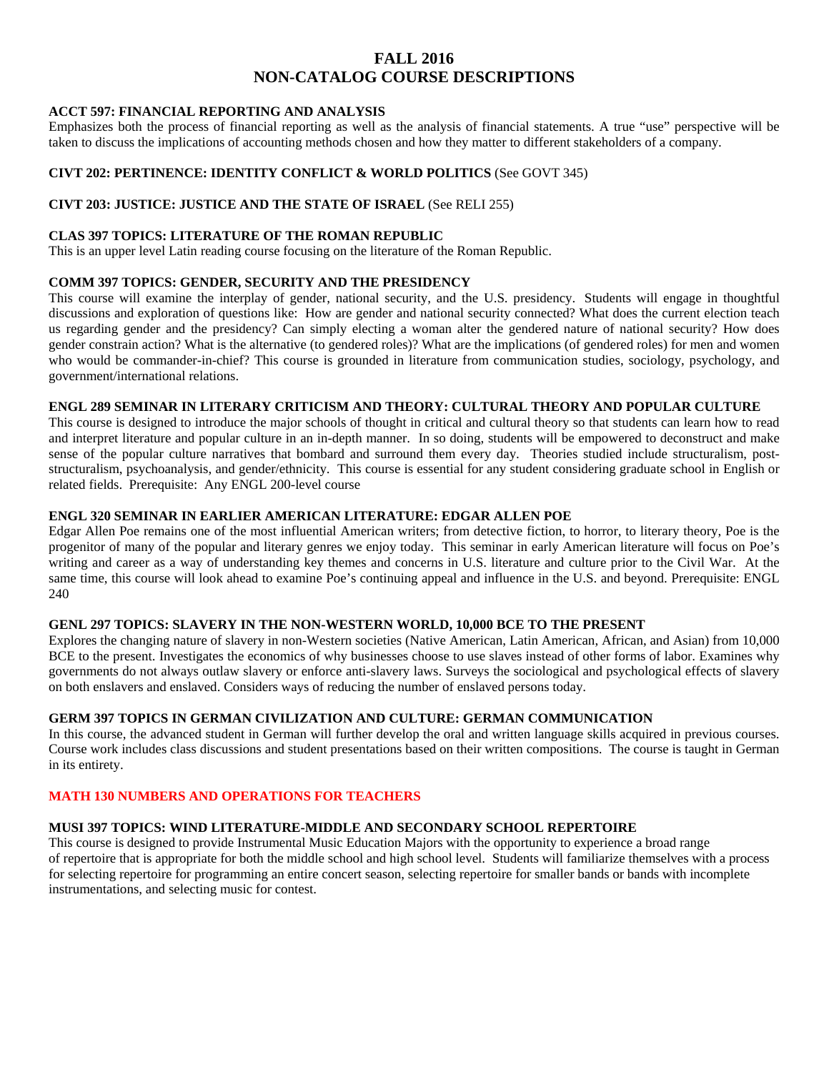# **FALL 2016 NON-CATALOG COURSE DESCRIPTIONS**

## **ACCT 597: FINANCIAL REPORTING AND ANALYSIS**

Emphasizes both the process of financial reporting as well as the analysis of financial statements. A true "use" perspective will be taken to discuss the implications of accounting methods chosen and how they matter to different stakeholders of a company.

## **CIVT 202: PERTINENCE: IDENTITY CONFLICT & WORLD POLITICS** (See GOVT 345)

## **CIVT 203: JUSTICE: JUSTICE AND THE STATE OF ISRAEL** (See RELI 255)

#### **CLAS 397 TOPICS: LITERATURE OF THE ROMAN REPUBLIC**

This is an upper level Latin reading course focusing on the literature of the Roman Republic.

## **COMM 397 TOPICS: GENDER, SECURITY AND THE PRESIDENCY**

This course will examine the interplay of gender, national security, and the U.S. presidency. Students will engage in thoughtful discussions and exploration of questions like: How are gender and national security connected? What does the current election teach us regarding gender and the presidency? Can simply electing a woman alter the gendered nature of national security? How does gender constrain action? What is the alternative (to gendered roles)? What are the implications (of gendered roles) for men and women who would be commander-in-chief? This course is grounded in literature from communication studies, sociology, psychology, and government/international relations.

#### **ENGL 289 SEMINAR IN LITERARY CRITICISM AND THEORY: CULTURAL THEORY AND POPULAR CULTURE**

This course is designed to introduce the major schools of thought in critical and cultural theory so that students can learn how to read and interpret literature and popular culture in an in-depth manner. In so doing, students will be empowered to deconstruct and make sense of the popular culture narratives that bombard and surround them every day. Theories studied include structuralism, poststructuralism, psychoanalysis, and gender/ethnicity. This course is essential for any student considering graduate school in English or related fields. Prerequisite: Any ENGL 200-level course

## **ENGL 320 SEMINAR IN EARLIER AMERICAN LITERATURE: EDGAR ALLEN POE**

Edgar Allen Poe remains one of the most influential American writers; from detective fiction, to horror, to literary theory, Poe is the progenitor of many of the popular and literary genres we enjoy today. This seminar in early American literature will focus on Poe's writing and career as a way of understanding key themes and concerns in U.S. literature and culture prior to the Civil War. At the same time, this course will look ahead to examine Poe's continuing appeal and influence in the U.S. and beyond. Prerequisite: ENGL 240

## **GENL 297 TOPICS: SLAVERY IN THE NON-WESTERN WORLD, 10,000 BCE TO THE PRESENT**

Explores the changing nature of slavery in non-Western societies (Native American, Latin American, African, and Asian) from 10,000 BCE to the present. Investigates the economics of why businesses choose to use slaves instead of other forms of labor. Examines why governments do not always outlaw slavery or enforce anti-slavery laws. Surveys the sociological and psychological effects of slavery on both enslavers and enslaved. Considers ways of reducing the number of enslaved persons today.

## **GERM 397 TOPICS IN GERMAN CIVILIZATION AND CULTURE: GERMAN COMMUNICATION**

In this course, the advanced student in German will further develop the oral and written language skills acquired in previous courses. Course work includes class discussions and student presentations based on their written compositions. The course is taught in German in its entirety.

## **MATH 130 NUMBERS AND OPERATIONS FOR TEACHERS**

#### **MUSI 397 TOPICS: WIND LITERATURE-MIDDLE AND SECONDARY SCHOOL REPERTOIRE**

This course is designed to provide Instrumental Music Education Majors with the opportunity to experience a broad range of repertoire that is appropriate for both the middle school and high school level. Students will familiarize themselves with a process for selecting repertoire for programming an entire concert season, selecting repertoire for smaller bands or bands with incomplete instrumentations, and selecting music for contest.